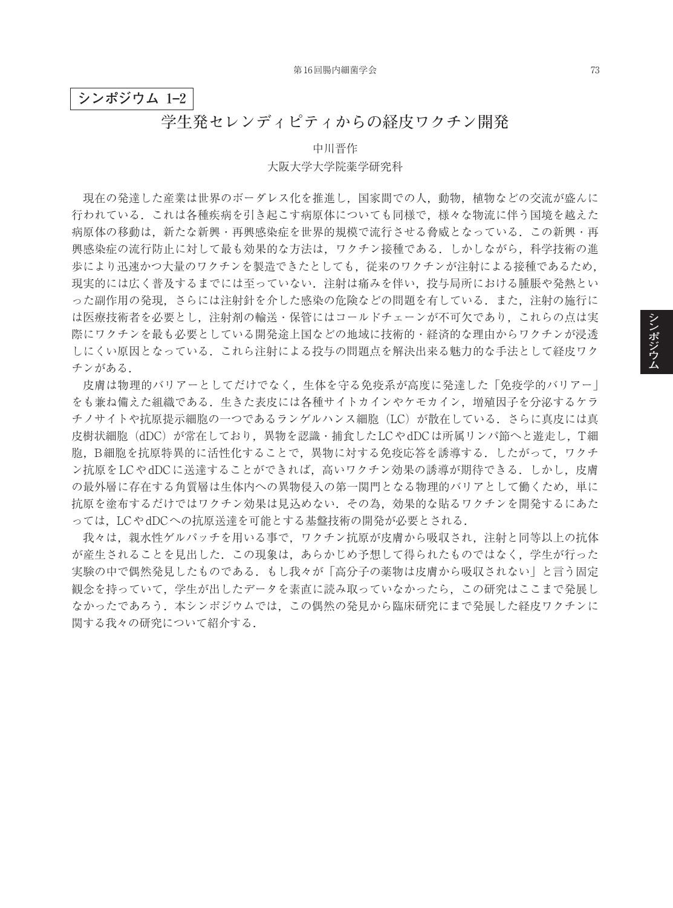## **シンポジウム 1–2**

## **学生発セレンディピティからの経皮ワクチン開発**

## 中川晋作 大阪大学大学院薬学研究科

現在の発達した産業は世界のボーダレス化を推進し,国家間での人,動物,植物などの交流が盛んに 行われている.これは各種疾病を引き起こす病原体についても同様で,様々な物流に伴う国境を越えた 病原体の移動は,新たな新興・再興感染症を世界的規模で流行させる脅威となっている.この新興・再 興感染症の流行防止に対して最も効果的な方法は,ワクチン接種である.しかしながら,科学技術の進 歩により迅速かつ大量のワクチンを製造できたとしても,従来のワクチンが注射による接種であるため, 現実的には広く普及するまでには至っていない.注射は痛みを伴い,投与局所における腫脹や発熱とい った副作用の発現,さらには注射針を介した感染の危険などの問題を有している.また,注射の施行に は医療技術者を必要とし,注射剤の輸送・保管にはコールドチェーンが不可欠であり,これらの点は実 際にワクチンを最も必要としている開発途上国などの地域に技術的・経済的な理由からワクチンが浸透 しにくい原因となっている.これら注射による投与の問題点を解決出来る魅力的な手法として経皮ワク チンがある.

皮膚は物理的バリアーとしてだけでなく,生体を守る免疫系が高度に発達した「免疫学的バリアー」 をも兼ね備えた組織である.生きた表皮には各種サイトカインやケモカイン,増殖因子を分泌するケラ チノサイトや抗原提示細胞の一つであるランゲルハンス細胞(LC)が散在している.さらに真皮には真 皮樹状細胞(dDC)が常在しており,異物を認識・捕食したLCやdDCは所属リンパ節へと遊走し,T細 胞,B細胞を抗原特異的に活性化することで,異物に対する免疫応答を誘導する.したがって,ワクチ ン抗原をLCやdDCに送達することができれば、高いワクチン効果の誘導が期待できる. しかし, 皮膚 の最外層に存在する角質層は生体内への異物侵入の第一関門となる物理的バリアとして働くため、単に 抗原を塗布するだけではワクチン効果は見込めない.その為,効果的な貼るワクチンを開発するにあた っては,LCやdDCへの抗原送達を可能とする基盤技術の開発が必要とされる.

我々は,親水性ゲルパッチを用いる事で,ワクチン抗原が皮膚から吸収され,注射と同等以上の抗体 が産生されることを見出した.この現象は,あらかじめ予想して得られたものではなく,学生が行った 実験の中で偶然発見したものである.もし我々が「高分子の薬物は皮膚から吸収されない」と言う固定 観念を持っていて,学生が出したデータを素直に読み取っていなかったら,この研究はここまで発展し なかったであろう.本シンポジウムでは,この偶然の発見から臨床研究にまで発展した経皮ワクチンに 関する我々の研究について紹介する.